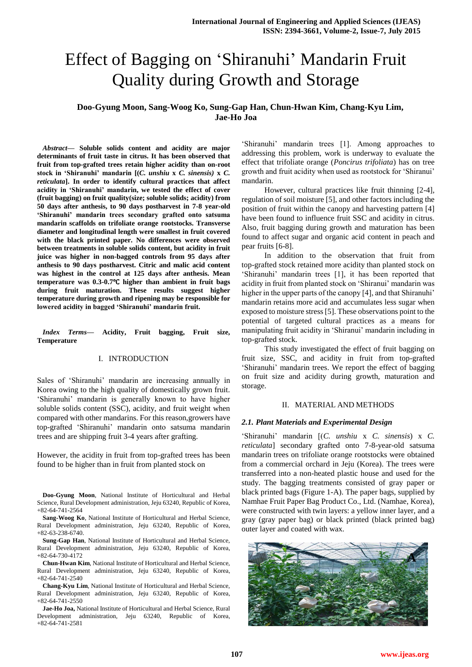# Effect of Bagging on "Shiranuhi" Mandarin Fruit Quality during Growth and Storage

## **Doo-Gyung Moon, Sang-Woog Ko, Sung-Gap Han, Chun-Hwan Kim, Chang-Kyu Lim, Jae-Ho Joa**

*Abstract***— Soluble solids content and acidity are major determinants of fruit taste in citrus. It has been observed that fruit from top-grafted trees retain higher acidity than on-root stock in 'Shiranuhi' mandarin [(***C. unshiu* **x** *C. sinensis)* **x** *C. reticulata***]. In order to identify cultural practices that affect acidity in 'Shiranuhi' mandarin, we tested the effect of cover (fruit bagging) on fruit quality(size; soluble solids; acidity) from 50 days after anthesis, to 90 days postharvest in 7-8 year-old 'Shiranuhi' mandarin trees secondary grafted onto satsuma mandarin scaffolds on trifoliate orange rootstocks. Transverse diameter and longitudinal length were smallest in fruit covered with the black printed paper. No differences were observed between treatments in soluble solids content, but acidity in fruit juice was higher in non-bagged controls from 95 days after anthesis to 90 days postharvest. Citric and malic acid content was highest in the control at 125 days after anthesis. Mean temperature was 0.3-0.7**℃ **higher than ambient in fruit bags during fruit maturation. These results suggest higher temperature during growth and ripening may be responsible for lowered acidity in bagged 'Shiranuhi' mandarin fruit.**

*Index Terms***— Acidity, Fruit bagging, Fruit size, Temperature**

## I. INTRODUCTION

Sales of 'Shiranuhi' mandarin are increasing annually in Korea owing to the high quality of domestically grown fruit. "Shiranuhi" mandarin is generally known to have higher soluble solids content (SSC), acidity, and fruit weight when compared with other mandarins. For this reason,growers have top-grafted "Shiranuhi" mandarin onto satsuma mandarin trees and are shipping fruit 3-4 years after grafting.

However, the acidity in fruit from top-grafted trees has been found to be higher than in fruit from planted stock on

**Doo-Gyung Moon**, National Institute of Horticultural and Herbal Science, Rural Development administration, Jeju 63240, Republic of Korea,  $+82-64-741-2564$ 

**Sang-Woog Ko**, National Institute of Horticultural and Herbal Science, Rural Development administration, Jeju 63240, Republic of Korea, +82-63-238-6740.

**Sung-Gap Han**, National Institute of Horticultural and Herbal Science, Rural Development administration, Jeju 63240, Republic of Korea, +82-64-730-4172

**Chun-Hwan Kim**, National Institute of Horticultural and Herbal Science, Rural Development administration, Jeju 63240, Republic of Korea, +82-64-741-2540

**Chang-Kyu Lim**, National Institute of Horticultural and Herbal Science, Rural Development administration, Jeju 63240, Republic of Korea,  $+82-64-741-2550$ 

**Jae-Ho Joa,** National Institute of Horticultural and Herbal Science, Rural Development administration, Jeju 63240, Republic of Korea, +82-64-741-2581

"Shiranuhi" mandarin trees [1]. Among approaches to addressing this problem, work is underway to evaluate the effect that trifoliate orange (*Poncirus trifoliata*) has on tree growth and fruit acidity when used as rootstock for "Shiranui" mandarin.

However, cultural practices like fruit thinning [2-4], regulation of soil moisture [5], and other factors including the position of fruit within the canopy and harvesting pattern [4] have been found to influence fruit SSC and acidity in citrus. Also, fruit bagging during growth and maturation has been found to affect sugar and organic acid content in peach and pear fruits [6-8].

In addition to the observation that fruit from top-grafted stock retained more acidity than planted stock on "Shiranuhi" mandarin trees [1], it has been reported that acidity in fruit from planted stock on "Shiranui" mandarin was higher in the upper parts of the canopy [4], and that Shiranuhi' mandarin retains more acid and accumulates less sugar when exposed to moisture stress [5]. These observations point to the potential of targeted cultural practices as a means for manipulating fruit acidity in 'Shiranui' mandarin including in top-grafted stock.

This study investigated the effect of fruit bagging on fruit size, SSC, and acidity in fruit from top-grafted 'Shiranuhi' mandarin trees. We report the effect of bagging on fruit size and acidity during growth, maturation and storage.

#### II. MATERIAL AND METHODS

#### *2.1. Plant Materials and Experimental Design*

"Shiranuhi" mandarin [(*C. unshiu* x *C. sinensis*) x *C. reticulata*] secondary grafted onto 7-8-year-old satsuma mandarin trees on trifoliate orange rootstocks were obtained from a commercial orchard in Jeju (Korea). The trees were transferred into a non-heated plastic house and used for the study. The bagging treatments consisted of gray paper or black printed bags (Figure 1-A). The paper bags, supplied by Namhae Fruit Paper Bag Product Co., Ltd. (Namhae, Korea), were constructed with twin layers: a yellow inner layer, and a gray (gray paper bag) or black printed (black printed bag) outer layer and coated with wax.

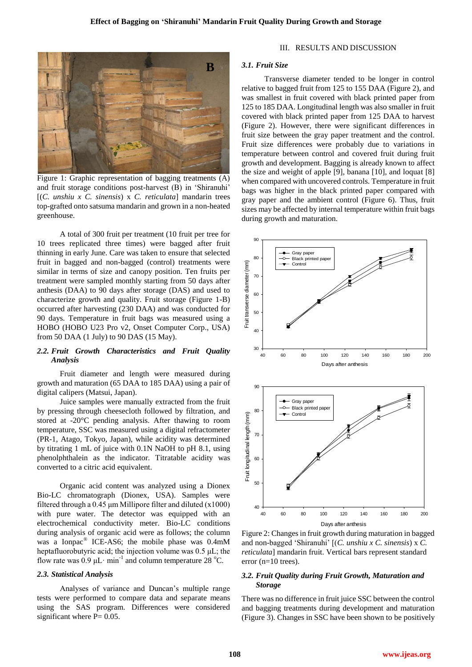

Figure 1: Graphic representation of bagging treatments (A) and fruit storage conditions post-harvest (B) in "Shiranuhi" [(*C. unshiu x C. sinensis*) x *C. reticulata*] mandarin trees top-grafted onto satsuma mandarin and grown in a non-heated greenhouse.

A total of 300 fruit per treatment (10 fruit per tree for 10 trees replicated three times) were bagged after fruit thinning in early June. Care was taken to ensure that selected fruit in bagged and non-bagged (control) treatments were similar in terms of size and canopy position. Ten fruits per treatment were sampled monthly starting from 50 days after anthesis (DAA) to 90 days after storage (DAS) and used to characterize growth and quality. Fruit storage (Figure 1-B) occurred after harvesting (230 DAA) and was conducted for 90 days. Temperature in fruit bags was measured using a HOBO (HOBO U23 Pro v2, Onset Computer Corp., USA) from 50 DAA (1 July) to 90 DAS (15 May).

## *2.2. Fruit Growth Characteristics and Fruit Quality Analysis*

Fruit diameter and length were measured during growth and maturation (65 DAA to 185 DAA) using a pair of digital calipers (Matsui, Japan).

Juice samples were manually extracted from the fruit by pressing through cheesecloth followed by filtration, and stored at -20°C pending analysis. After thawing to room temperature, SSC was measured using a digital refractometer (PR-1, Atago, Tokyo, Japan), while acidity was determined by titrating 1 mL of juice with 0.1N NaOH to pH 8.1, using phenolphthalein as the indicator. Titratable acidity was converted to a citric acid equivalent.

Organic acid content was analyzed using a Dionex Bio-LC chromatograph (Dionex, USA). Samples were filtered through a  $0.45 \mu m$  Millipore filter and diluted (x1000) with pure water. The detector was equipped with an electrochemical conductivity meter. Bio-LC conditions during analysis of organic acid were as follows; the column was a Ionpac® ICE-AS6; the mobile phase was 0.4mM heptafluorobutyric acid; the injection volume was 0.5 μL; the flow rate was  $0.9 \mu L \cdot min^{-1}$  and column temperature 28 °C.

#### *2.3. Statistical Analysis*

Analyses of variance and Duncan's multiple range tests were performed to compare data and separate means using the SAS program. Differences were considered significant where  $P = 0.05$ .

#### III. RESULTS AND DISCUSSION

## *3.1. Fruit Size*

Transverse diameter tended to be longer in control relative to bagged fruit from 125 to 155 DAA (Figure 2), and was smallest in fruit covered with black printed paper from 125 to 185 DAA. Longitudinal length was also smaller in fruit covered with black printed paper from 125 DAA to harvest (Figure 2). However, there were significant differences in fruit size between the gray paper treatment and the control. Fruit size differences were probably due to variations in temperature between control and covered fruit during fruit growth and development. Bagging is already known to affect the size and weight of apple [9], banana [10], and loquat [8] when compared with uncovered controls. Temperature in fruit bags was higher in the black printed paper compared with gray paper and the ambient control (Figure 6). Thus, fruit sizes may be affected by internal temperature within fruit bags during growth and maturation.



Figure 2: Changes in fruit growth during maturation in bagged and non-bagged "Shiranuhi" [(*C. unshiu x C. sinensis*) x *C. reticulata*] mandarin fruit. Vertical bars represent standard error (n=10 trees).

## *3.2. Fruit Quality during Fruit Growth, Maturation and Storage*

There was no difference in fruit juice SSC between the control and bagging treatments during development and maturation (Figure 3). Changes in SSC have been shown to be positively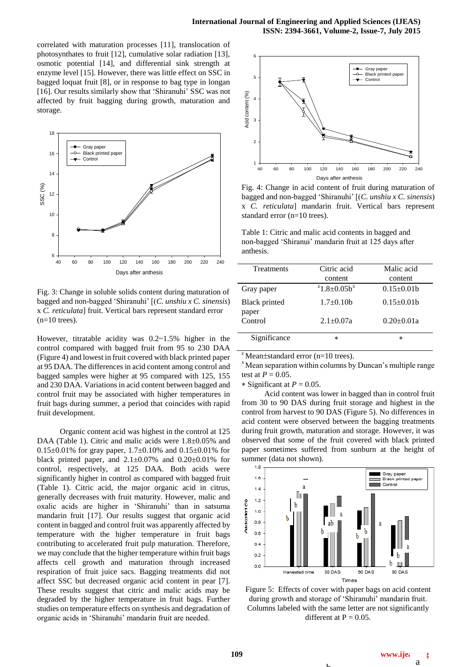correlated with maturation processes [11], translocation of photosynthates to fruit [12], cumulative solar radiation [13], osmotic potential [14], and differential sink strength at enzyme level [15]. However, there was little effect on SSC in bagged loquat fruit [8], or in response to bag type in longan [16]. Our results similarly show that 'Shiranuhi' SSC was not affected by fruit bagging during growth, maturation and storage.



Fig. 3: Change in soluble solids content during maturation of bagged and non-bagged "Shiranuhi" [(*C. unshiu x C. sinensis*) x *C. reticulata*] fruit. Vertical bars represent standard error  $(n=10$  trees).

However, titratable acidity was 0.2~1.5% higher in the control compared with bagged fruit from 95 to 230 DAA (Figure 4) and lowest in fruit covered with black printed paper at 95 DAA. The differences in acid content among control and bagged samples were higher at 95 compared with 125, 155 and 230 DAA. Variations in acid content between bagged and control fruit may be associated with higher temperatures in fruit bags during summer, a period that coincides with rapid fruit development.

Organic content acid was highest in the control at 125 DAA (Table 1). Citric and malic acids were  $1.8\pm0.05\%$  and 0.15 $\pm$ 0.01% for gray paper, 1.7 $\pm$ 0.10% and 0.15 $\pm$ 0.01% for black printed paper, and  $2.1 \pm 0.07\%$  and  $0.20 \pm 0.01\%$  for control, respectively, at 125 DAA. Both acids were significantly higher in control as compared with bagged fruit (Table 1). Citric acid, the major organic acid in citrus, generally decreases with fruit maturity. However, malic and oxalic acids are higher in 'Shiranuhi' than in satsuma mandarin fruit [17]. Our results suggest that organic acid content in bagged and control fruit was apparently affected by temperature with the higher temperature in fruit bags contributing to accelerated fruit pulp maturation. Therefore, we may conclude that the higher temperature within fruit bags affects cell growth and maturation through increased respiration of fruit juice sacs. Bagging treatments did not affect SSC but decreased organic acid content in pear [7]. These results suggest that citric and malic acids may be degraded by the higher temperature in fruit bags. Further studies on temperature effects on synthesis and degradation of organic acids in "Shiranuhi" mandarin fruit are needed.



Fig. 4: Change in acid content of fruit during maturation of bagged and non-bagged "Shiranuhi" [(*C. unshiu x C. sinensis*) x *C. reticulata*] mandarin fruit. Vertical bars represent standard error (n=10 trees).

Table 1: Citric and malic acid contents in bagged and non-bagged "Shiranui" mandarin fruit at 125 days after anthesis.

| Treatments             | Citric acid<br>content         | Malic acid<br>content |
|------------------------|--------------------------------|-----------------------|
| Gray paper             | $21.8 \pm 0.05$ b <sup>x</sup> | $0.15 \pm 0.01$ b     |
| Black printed<br>paper | $1.7 \pm 0.10$                 | $0.15 \pm 0.01$ b     |
| Control                | $2.1 \pm 0.07a$                | $0.20 \pm 0.01a$      |
| Significance           | $\star$                        | $\ast$                |

 $\mu^2$ Mean $\pm$ standard error (n=10 trees).

 $x<sup>x</sup>$  Mean separation within columns by Duncan's multiple range test at  $P = 0.05$ .

\* Significant at  $P = 0.05$ .

Acid content was lower in bagged than in control fruit from 30 to 90 DAS during fruit storage and highest in the control from harvest to 90 DAS (Figure 5). No differences in acid content were observed between the bagging treatments during fruit growth, maturation and storage. However, it was observed that some of the fruit covered with black printed paper sometimes suffered from sunburn at the height of summer (data not shown).



Figure 5: Effects of cover with paper bags on acid content during growth and storage of 'Shiranuhi' mandarin fruit. Columns labeled with the same letter are not significantly different at  $P = 0.05$ .

 $\mathbf{L}$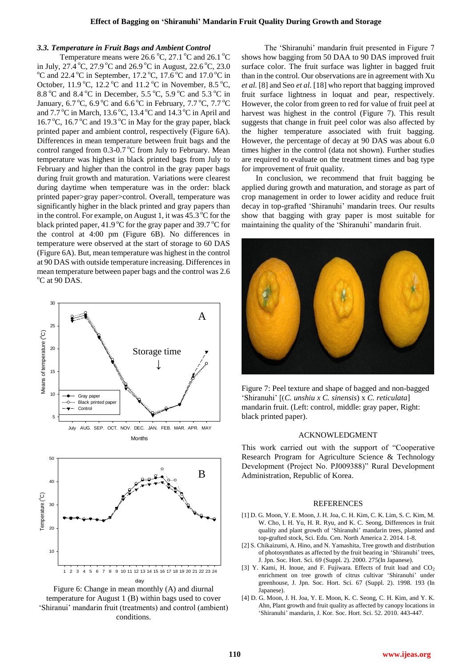#### *3.3. Temperature in Fruit Bags and Ambient Control*

Temperature means were 26.6  $\degree$ C, 27.1  $\degree$ C and 26.1  $\degree$ C in July, 27.4 °C, 27.9 °C and 26.9 °C in August, 22.6 °C, 23.0  $\rm ^{o}C$  and 22.4  $\rm ^{o}C$  in September, 17.2  $\rm ^{o}C$ , 17.6  $\rm ^{o}C$  and 17.0  $\rm ^{o}C$  in October,  $11.9 \text{ °C}$ ,  $12.2 \text{ °C}$  and  $11.2 \text{ °C}$  in November,  $8.5 \text{ °C}$ , 8.8 °C and 8.4 °C in December, 5.5 °C, 5.9 °C and 5.3 °C in January,  $6.7^{\circ}$ C,  $6.9^{\circ}$ C and  $6.6^{\circ}$ C in February,  $7.7^{\circ}$ C,  $7.7^{\circ}$ C and  $7.7^{\circ}$ C in March,  $13.6^{\circ}$ C,  $13.4^{\circ}$ C and  $14.3^{\circ}$ C in April and 16.7 °C, 16.7 °C and 19.3 °C in May for the gray paper, black printed paper and ambient control, respectively (Figure 6A). Differences in mean temperature between fruit bags and the control ranged from  $0.3$ - $0.7$  °C from July to February. Mean temperature was highest in black printed bags from July to February and higher than the control in the gray paper bags during fruit growth and maturation. Variations were clearest during daytime when temperature was in the order: black printed paper>gray paper>control. Overall, temperature was significantly higher in the black printed and gray papers than in the control. For example, on August 1, it was  $45.3\text{°C}$  for the black printed paper, 41.9  $\mathrm{^{\circ}C}$  for the gray paper and 39.7  $\mathrm{^{\circ}C}$  for the control at 4:00 pm (Figure 6B). No differences in temperature were observed at the start of storage to 60 DAS (Figure 6A). But, mean temperature was highest in the control at 90 DAS with outside temperature increasing. Differences in mean temperature between paper bags and the control was 2.6 <sup>o</sup>C at 90 DAS.



The 'Shiranuhi' mandarin fruit presented in Figure 7 shows how bagging from 50 DAA to 90 DAS improved fruit surface color. The fruit surface was lighter in bagged fruit than in the control. Our observations are in agreement with Xu *et al.* [8] and Seo *et al.* [18] who report that bagging improved fruit surface lightness in loquat and pear, respectively. However, the color from green to red for value of fruit peel at harvest was highest in the control (Figure 7). This result suggests that change in fruit peel color was also affected by the higher temperature associated with fruit bagging. However, the percentage of decay at 90 DAS was about 6.0 times higher in the control (data not shown). Further studies are required to evaluate on the treatment times and bag type for improvement of fruit quality.

In conclusion, we recommend that fruit bagging be applied during growth and maturation, and storage as part of crop management in order to lower acidity and reduce fruit decay in top-grafted "Shiranuhi" mandarin trees. Our results show that bagging with gray paper is most suitable for maintaining the quality of the 'Shiranuhi' mandarin fruit.



Figure 7: Peel texture and shape of bagged and non-bagged "Shiranuhi" [(*C. unshiu x C. sinensis*) x *C. reticulata*] mandarin fruit. (Left: control, middle: gray paper, Right: black printed paper).

#### ACKNOWLEDGMENT

This work carried out with the support of "Cooperative Research Program for Agriculture Science & Technology Development (Project No. PJ009388)" Rural Development Administration, Republic of Korea.

#### REFERENCES

- [1] D. G. Moon, Y. E. Moon, J. H. Joa, C. H. Kim, C. K. Lim, S. C. Kim, M. W. Cho, I. H. Yu, H. R. Ryu, and K. C. Seong, Differences in fruit quality and plant growth of 'Shiranuhi' mandarin trees, planted and top-grafted stock, Sci. Edu. Cen. North America 2. 2014. 1-8.
- [2] S. Chikaizumi, A. Hino, and N. Yamashita, Tree growth and distribution of photosynthates as affected by the fruit bearing in "Shiranuhi" trees, J. Jpn. Soc. Hort. Sci. 69 (Suppl. 2). 2000. 275(In Japanese).
- [3] Y. Kami, H. Inoue, and F. Fujiwara. Effects of fruit load and  $CO<sub>2</sub>$ enrichment on tree growth of citrus cultivar 'Shiranuhi' under greenhouse, J. Jpn. Soc. Hort. Sci. 67 (Suppl. 2). 1998. 193 (In Japanese).
- [4] D. G. Moon, J. H. Joa, Y. E. Moon, K. C. Seong, C. H. Kim, and Y. K. Ahn, Plant growth and fruit quality as affected by canopy locations in "Shiranuhi" mandarin, J. Kor. Soc. Hort. Sci. 52. 2010. 443-447.

Figure 6: Change in mean monthly (A) and diurnal temperature for August 1 (B) within bags used to cover "Shiranui" mandarin fruit (treatments) and control (ambient) conditions.

day

10

1 2 3 4 5 6 7 8 9 10 11 12 13 14 15 16 17 18 19 20 21 22 23 24